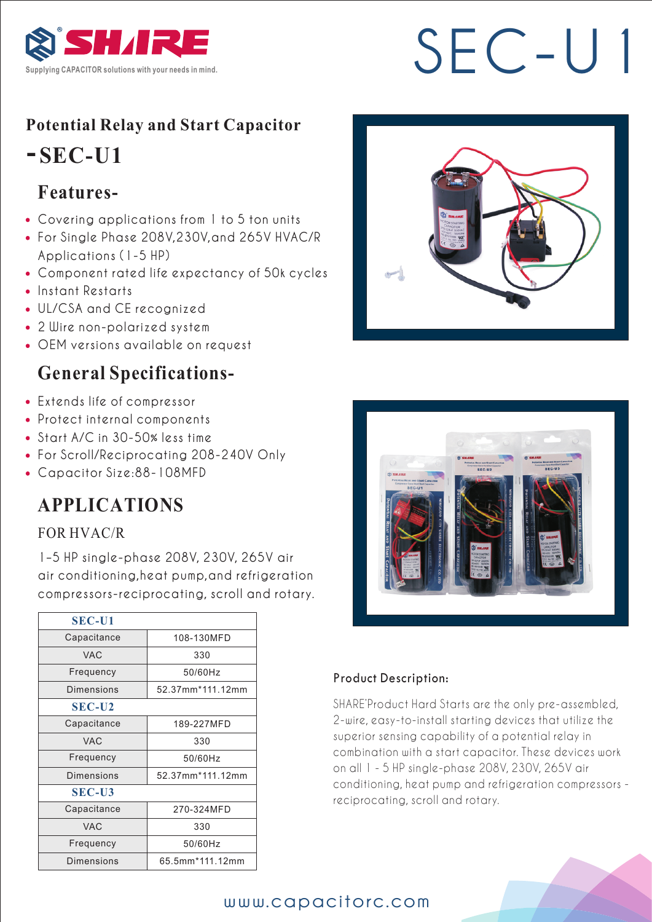

# SEC-U

## **Potential Relay and Start Capacitor**

# **-SEC-U1**

# **Features-**

- Covering applications from 1 to 5 ton units
- For Single Phase 208V,230V,and 265V HVAC/R Applications (1-5 HP)
- Component rated life expectancy of 50k cycles
- Instant Restarts
- UL/CSA and CE recognized
- 2 Wire non-polarized system
- OEM versions available on request

## **General Specifications-**

- Extends life of compressor
- Protect internal components
- Start A/C in 30-50% less time
- For Scroll/Reciprocating 208-240V Only
- Capacitor Size:88-108MFD

# **APPLICATIONS**

#### FOR HVAC/R

 1–5 HP single-phase 208V, 230V, 265V air air conditioning,heat pump,and refrigeration compressors-reciprocating, scroll and rotary.

| <b>SEC-U1</b>     |                  |
|-------------------|------------------|
| Capacitance       | 108-130MFD       |
| <b>VAC</b>        | 330              |
| Frequency         | 50/60Hz          |
| Dimensions        | 52.37mm*111.12mm |
| <b>SEC-U2</b>     |                  |
| Capacitance       | 189-227MFD       |
| <b>VAC</b>        | 330              |
| Frequency         | 50/60Hz          |
| Dimensions        | 52.37mm*111.12mm |
| <b>SEC-U3</b>     |                  |
| Capacitance       | 270-324MFD       |
| <b>VAC</b>        | 330              |
| Frequency         | 50/60Hz          |
| <b>Dimensions</b> | 65.5mm*111.12mm  |





#### Product Description:

SHARE'Product Hard Starts are the only pre-assembled, 2-wire, easy-to-install starting devices that utilize the superior sensing capability of a potential relay in combination with a start capacitor. These devices work on all 1 - 5 HP single-phase 208V, 230V, 265V air conditioning, heat pump and refrigeration compressors reciprocating, scroll and rotary.